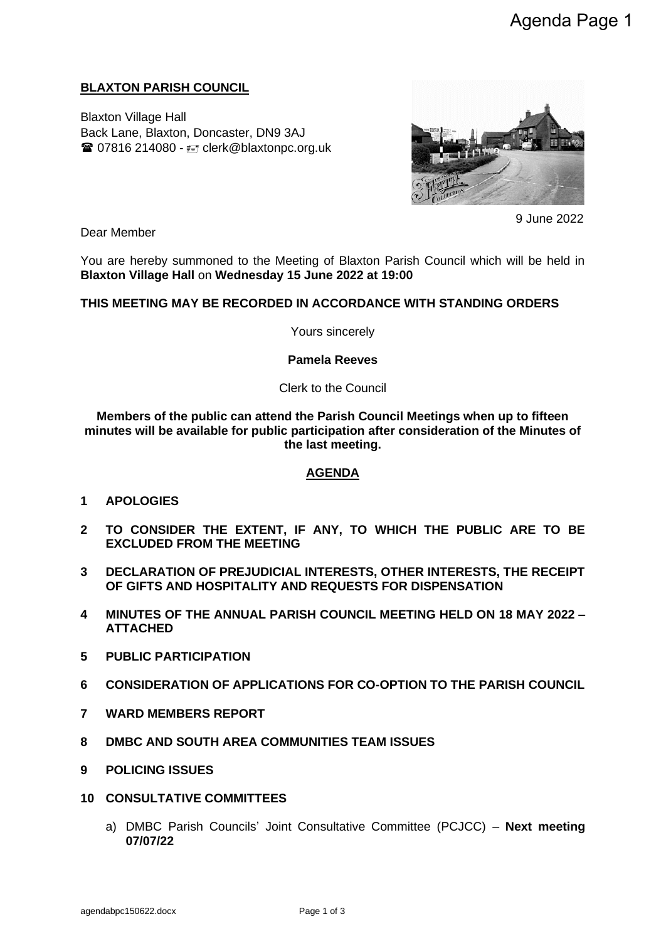## **BLAXTON PARISH COUNCIL**

Blaxton Village Hall Back Lane, Blaxton, Doncaster, DN9 3AJ  $\mathbf{\widehat{a}}$  07816 214080 -  $\mathbf{F}$  clerk@blaxtonpc.org.uk



9 June 2022

Dear Member

You are hereby summoned to the Meeting of Blaxton Parish Council which will be held in **Blaxton Village Hall** on **Wednesday 15 June 2022 at 19:00** 

### **THIS MEETING MAY BE RECORDED IN ACCORDANCE WITH STANDING ORDERS**

Yours sincerely

**Pamela Reeves**

Clerk to the Council

**Members of the public can attend the Parish Council Meetings when up to fifteen minutes will be available for public participation after consideration of the Minutes of the last meeting.**

#### **AGENDA**

- **1 APOLOGIES**
- **2 TO CONSIDER THE EXTENT, IF ANY, TO WHICH THE PUBLIC ARE TO BE EXCLUDED FROM THE MEETING**
- **3 DECLARATION OF PREJUDICIAL INTERESTS, OTHER INTERESTS, THE RECEIPT OF GIFTS AND HOSPITALITY AND REQUESTS FOR DISPENSATION**
- **4 MINUTES OF THE ANNUAL PARISH COUNCIL MEETING HELD ON 18 MAY 2022 – ATTACHED**
- **5 PUBLIC PARTICIPATION**
- **6 CONSIDERATION OF APPLICATIONS FOR CO-OPTION TO THE PARISH COUNCIL**
- **7 WARD MEMBERS REPORT**
- **8 DMBC AND SOUTH AREA COMMUNITIES TEAM ISSUES**
- **9 POLICING ISSUES**
- **10 CONSULTATIVE COMMITTEES**
	- a) DMBC Parish Councils' Joint Consultative Committee (PCJCC) **Next meeting 07/07/22**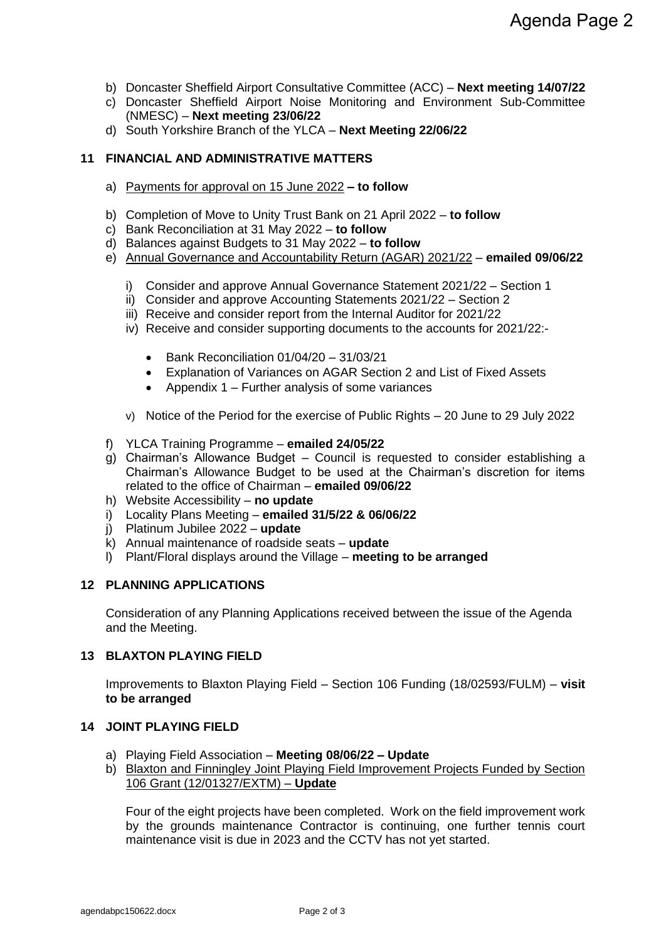- b) Doncaster Sheffield Airport Consultative Committee (ACC) **Next meeting 14/07/22**
- c) Doncaster Sheffield Airport Noise Monitoring and Environment Sub-Committee (NMESC) – **Next meeting 23/06/22**
- d) South Yorkshire Branch of the YLCA **Next Meeting 22/06/22**

## **11 FINANCIAL AND ADMINISTRATIVE MATTERS**

- a) Payments for approval on 15 June 2022 **– to follow**
- b) Completion of Move to Unity Trust Bank on 21 April 2022 **to follow**
- c) Bank Reconciliation at 31 May 2022 **to follow**
- d) Balances against Budgets to 31 May 2022 **to follow**
- e) Annual Governance and Accountability Return (AGAR) 2021/22 **emailed 09/06/22**
	- i) Consider and approve Annual Governance Statement 2021/22 Section 1
	- ii) Consider and approve Accounting Statements 2021/22 Section 2
	- iii) Receive and consider report from the Internal Auditor for 2021/22
	- iv) Receive and consider supporting documents to the accounts for 2021/22:-
		- Bank Reconciliation 01/04/20 31/03/21
		- Explanation of Variances on AGAR Section 2 and List of Fixed Assets
		- Appendix 1 Further analysis of some variances
	- v) Notice of the Period for the exercise of Public Rights 20 June to 29 July 2022
- f) YLCA Training Programme **emailed 24/05/22**
- g) Chairman's Allowance Budget Council is requested to consider establishing a Chairman's Allowance Budget to be used at the Chairman's discretion for items related to the office of Chairman – **emailed 09/06/22**
- h) Website Accessibility **no update**
- i) Locality Plans Meeting **emailed 31/5/22 & 06/06/22**
- j) Platinum Jubilee 2022 **update**
- k) Annual maintenance of roadside seats **update**
- l) Plant/Floral displays around the Village **meeting to be arranged**

#### **12 PLANNING APPLICATIONS**

Consideration of any Planning Applications received between the issue of the Agenda and the Meeting.

#### **13 BLAXTON PLAYING FIELD**

Improvements to Blaxton Playing Field – Section 106 Funding (18/02593/FULM) – **visit to be arranged**

#### **14 JOINT PLAYING FIELD**

- a) Playing Field Association **Meeting 08/06/22 – Update**
- b) Blaxton and Finningley Joint Playing Field Improvement Projects Funded by Section 106 Grant (12/01327/EXTM) – **Update**

Four of the eight projects have been completed. Work on the field improvement work by the grounds maintenance Contractor is continuing, one further tennis court maintenance visit is due in 2023 and the CCTV has not yet started.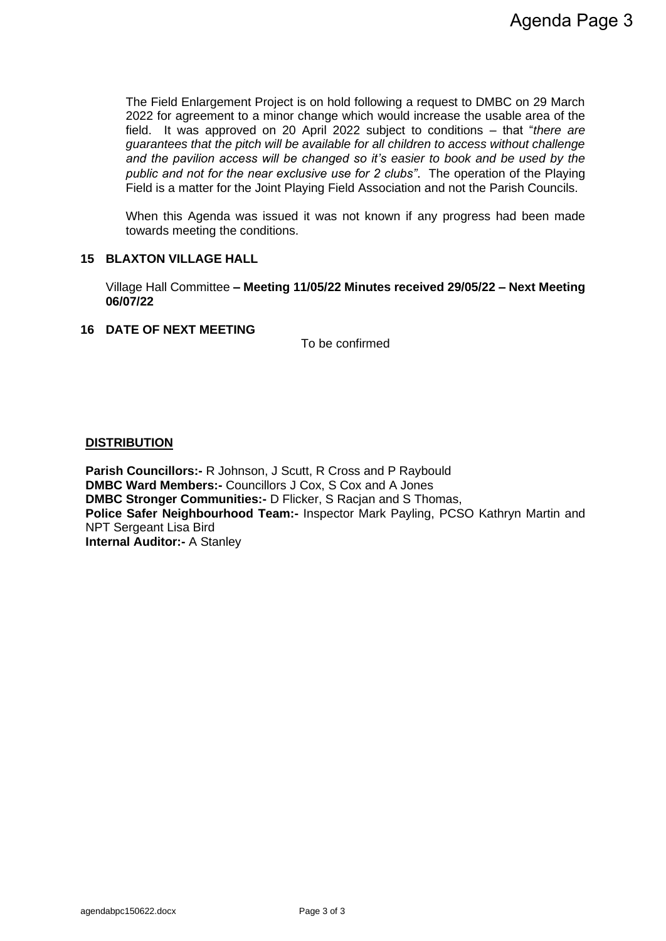The Field Enlargement Project is on hold following a request to DMBC on 29 March 2022 for agreement to a minor change which would increase the usable area of the field. It was approved on 20 April 2022 subject to conditions – that "*there are guarantees that the pitch will be available for all children to access without challenge and the pavilion access will be changed so it's easier to book and be used by the public and not for the near exclusive use for 2 clubs"*. The operation of the Playing Field is a matter for the Joint Playing Field Association and not the Parish Councils.

When this Agenda was issued it was not known if any progress had been made towards meeting the conditions.

### **15 BLAXTON VILLAGE HALL**

Village Hall Committee **– Meeting 11/05/22 Minutes received 29/05/22 – Next Meeting 06/07/22**

#### **16 DATE OF NEXT MEETING**

To be confirmed

### **DISTRIBUTION**

**Parish Councillors:- R Johnson, J Scutt, R Cross and P Raybould DMBC Ward Members:-** Councillors J Cox, S Cox and A Jones **DMBC Stronger Communities:-** D Flicker, S Racjan and S Thomas, **Police Safer Neighbourhood Team:-** Inspector Mark Payling, PCSO Kathryn Martin and NPT Sergeant Lisa Bird **Internal Auditor:-** A Stanley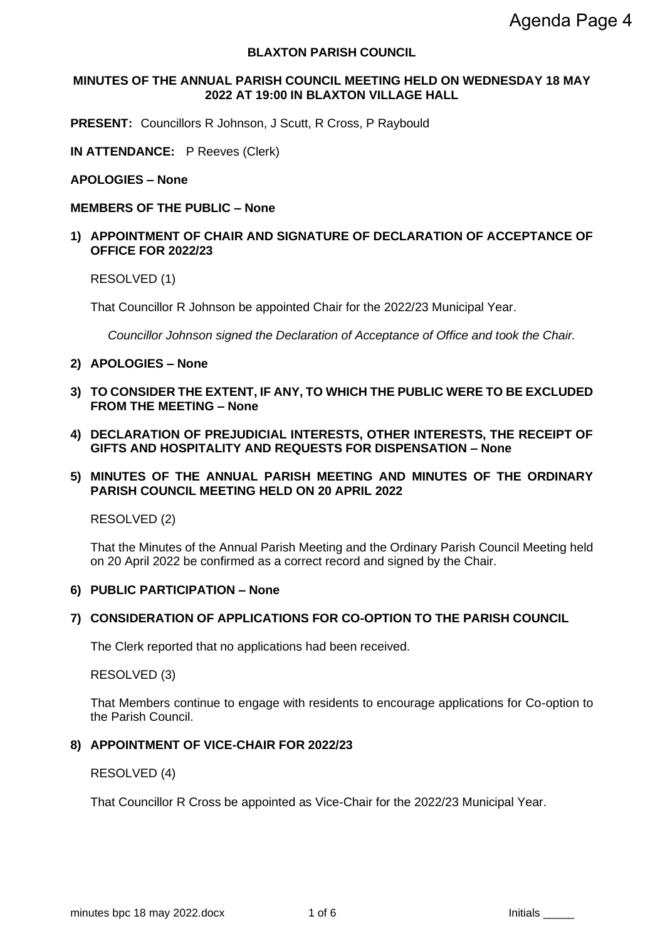### **BLAXTON PARISH COUNCIL**

### **MINUTES OF THE ANNUAL PARISH COUNCIL MEETING HELD ON WEDNESDAY 18 MAY 2022 AT 19:00 IN BLAXTON VILLAGE HALL**

**PRESENT:** Councillors R Johnson, J Scutt, R Cross, P Raybould

**IN ATTENDANCE:** P Reeves (Clerk)

#### **APOLOGIES – None**

#### **MEMBERS OF THE PUBLIC – None**

### **1) APPOINTMENT OF CHAIR AND SIGNATURE OF DECLARATION OF ACCEPTANCE OF OFFICE FOR 2022/23**

RESOLVED (1)

That Councillor R Johnson be appointed Chair for the 2022/23 Municipal Year.

*Councillor Johnson signed the Declaration of Acceptance of Office and took the Chair.*

- **2) APOLOGIES – None**
- **3) TO CONSIDER THE EXTENT, IF ANY, TO WHICH THE PUBLIC WERE TO BE EXCLUDED FROM THE MEETING – None**
- **4) DECLARATION OF PREJUDICIAL INTERESTS, OTHER INTERESTS, THE RECEIPT OF GIFTS AND HOSPITALITY AND REQUESTS FOR DISPENSATION – None**

### **5) MINUTES OF THE ANNUAL PARISH MEETING AND MINUTES OF THE ORDINARY PARISH COUNCIL MEETING HELD ON 20 APRIL 2022**

RESOLVED (2)

That the Minutes of the Annual Parish Meeting and the Ordinary Parish Council Meeting held on 20 April 2022 be confirmed as a correct record and signed by the Chair.

#### **6) PUBLIC PARTICIPATION – None**

#### **7) CONSIDERATION OF APPLICATIONS FOR CO-OPTION TO THE PARISH COUNCIL**

The Clerk reported that no applications had been received.

RESOLVED (3)

That Members continue to engage with residents to encourage applications for Co-option to the Parish Council.

#### **8) APPOINTMENT OF VICE-CHAIR FOR 2022/23**

RESOLVED (4)

That Councillor R Cross be appointed as Vice-Chair for the 2022/23 Municipal Year.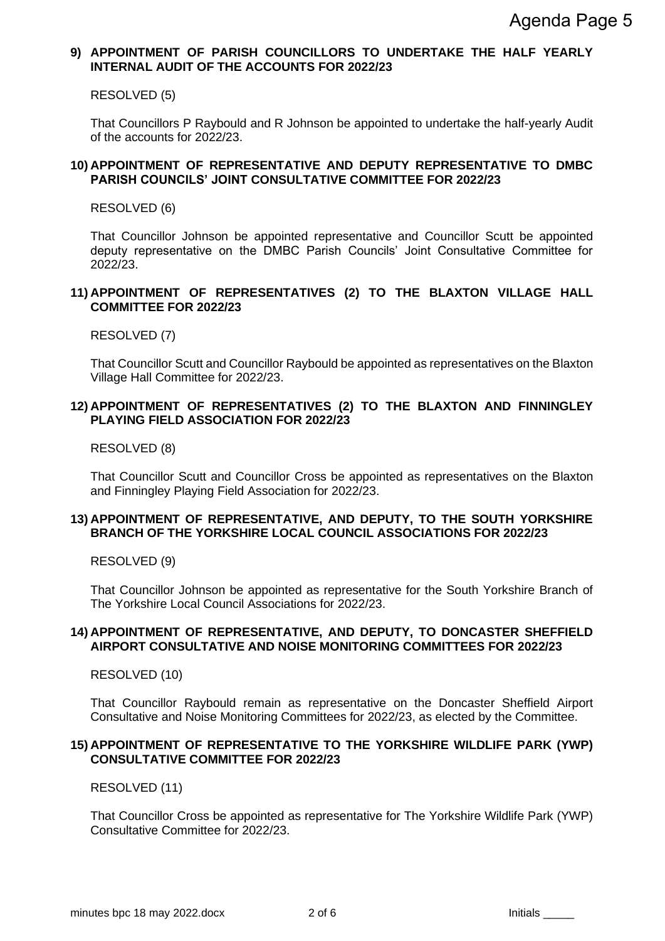## **9) APPOINTMENT OF PARISH COUNCILLORS TO UNDERTAKE THE HALF YEARLY INTERNAL AUDIT OF THE ACCOUNTS FOR 2022/23**

RESOLVED (5)

That Councillors P Raybould and R Johnson be appointed to undertake the half-yearly Audit of the accounts for 2022/23.

#### **10) APPOINTMENT OF REPRESENTATIVE AND DEPUTY REPRESENTATIVE TO DMBC PARISH COUNCILS' JOINT CONSULTATIVE COMMITTEE FOR 2022/23**

RESOLVED (6)

That Councillor Johnson be appointed representative and Councillor Scutt be appointed deputy representative on the DMBC Parish Councils' Joint Consultative Committee for 2022/23.

#### **11) APPOINTMENT OF REPRESENTATIVES (2) TO THE BLAXTON VILLAGE HALL COMMITTEE FOR 2022/23**

RESOLVED (7)

That Councillor Scutt and Councillor Raybould be appointed as representatives on the Blaxton Village Hall Committee for 2022/23.

## **12) APPOINTMENT OF REPRESENTATIVES (2) TO THE BLAXTON AND FINNINGLEY PLAYING FIELD ASSOCIATION FOR 2022/23**

RESOLVED (8)

That Councillor Scutt and Councillor Cross be appointed as representatives on the Blaxton and Finningley Playing Field Association for 2022/23.

### **13) APPOINTMENT OF REPRESENTATIVE, AND DEPUTY, TO THE SOUTH YORKSHIRE BRANCH OF THE YORKSHIRE LOCAL COUNCIL ASSOCIATIONS FOR 2022/23**

RESOLVED (9)

That Councillor Johnson be appointed as representative for the South Yorkshire Branch of The Yorkshire Local Council Associations for 2022/23.

### **14) APPOINTMENT OF REPRESENTATIVE, AND DEPUTY, TO DONCASTER SHEFFIELD AIRPORT CONSULTATIVE AND NOISE MONITORING COMMITTEES FOR 2022/23**

RESOLVED (10)

That Councillor Raybould remain as representative on the Doncaster Sheffield Airport Consultative and Noise Monitoring Committees for 2022/23, as elected by the Committee.

### **15) APPOINTMENT OF REPRESENTATIVE TO THE YORKSHIRE WILDLIFE PARK (YWP) CONSULTATIVE COMMITTEE FOR 2022/23**

RESOLVED (11)

That Councillor Cross be appointed as representative for The Yorkshire Wildlife Park (YWP) Consultative Committee for 2022/23.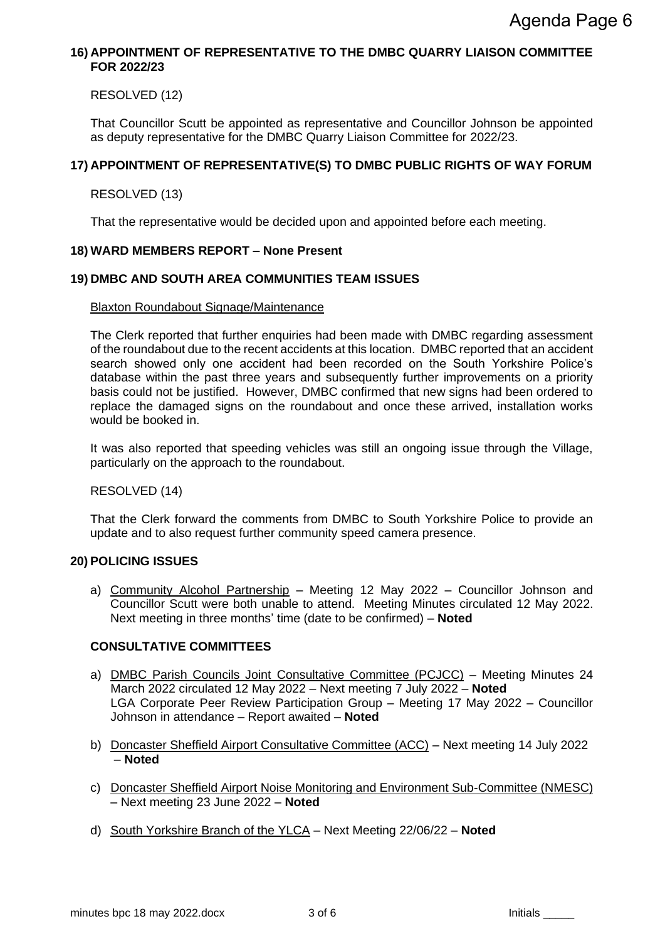## **16) APPOINTMENT OF REPRESENTATIVE TO THE DMBC QUARRY LIAISON COMMITTEE FOR 2022/23**

RESOLVED (12)

That Councillor Scutt be appointed as representative and Councillor Johnson be appointed as deputy representative for the DMBC Quarry Liaison Committee for 2022/23.

## **17) APPOINTMENT OF REPRESENTATIVE(S) TO DMBC PUBLIC RIGHTS OF WAY FORUM**

## RESOLVED (13)

That the representative would be decided upon and appointed before each meeting.

### **18) WARD MEMBERS REPORT – None Present**

### **19) DMBC AND SOUTH AREA COMMUNITIES TEAM ISSUES**

#### Blaxton Roundabout Signage/Maintenance

The Clerk reported that further enquiries had been made with DMBC regarding assessment of the roundabout due to the recent accidents at this location. DMBC reported that an accident search showed only one accident had been recorded on the South Yorkshire Police's database within the past three years and subsequently further improvements on a priority basis could not be justified. However, DMBC confirmed that new signs had been ordered to replace the damaged signs on the roundabout and once these arrived, installation works would be booked in.

It was also reported that speeding vehicles was still an ongoing issue through the Village, particularly on the approach to the roundabout.

#### RESOLVED (14)

That the Clerk forward the comments from DMBC to South Yorkshire Police to provide an update and to also request further community speed camera presence.

## **20) POLICING ISSUES**

a) Community Alcohol Partnership – Meeting 12 May 2022 – Councillor Johnson and Councillor Scutt were both unable to attend. Meeting Minutes circulated 12 May 2022. Next meeting in three months' time (date to be confirmed) – **Noted**

## **CONSULTATIVE COMMITTEES**

- a) DMBC Parish Councils Joint Consultative Committee (PCJCC) Meeting Minutes 24 March 2022 circulated 12 May 2022 – Next meeting 7 July 2022 – **Noted** LGA Corporate Peer Review Participation Group – Meeting 17 May 2022 – Councillor Johnson in attendance – Report awaited – **Noted**
- b) Doncaster Sheffield Airport Consultative Committee (ACC) Next meeting 14 July 2022 – **Noted**
- c) Doncaster Sheffield Airport Noise Monitoring and Environment Sub-Committee (NMESC) – Next meeting 23 June 2022 – **Noted**
- d) South Yorkshire Branch of the YLCA Next Meeting 22/06/22 **Noted**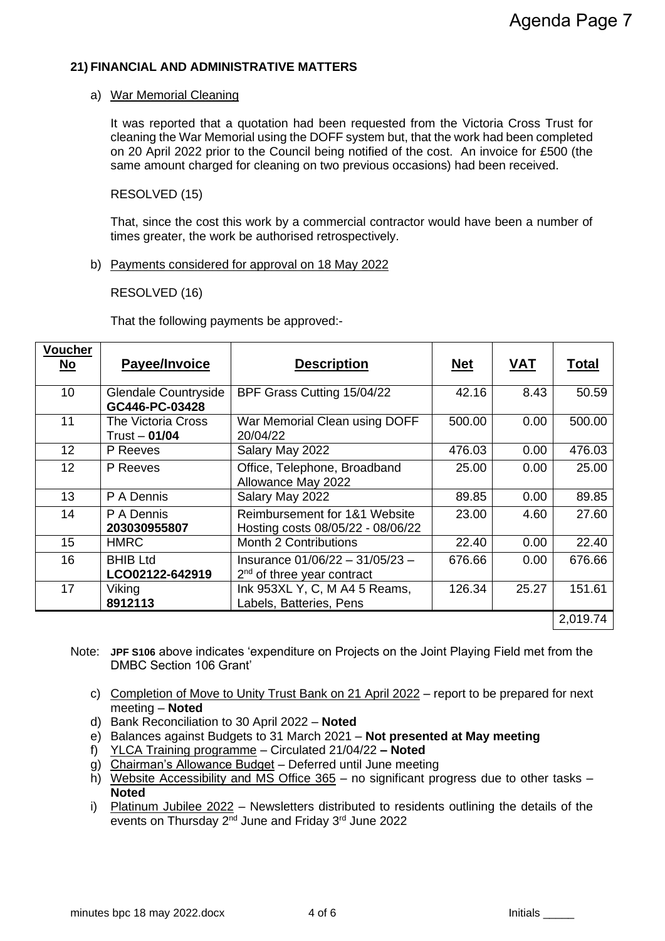### **21) FINANCIAL AND ADMINISTRATIVE MATTERS**

#### a) War Memorial Cleaning

It was reported that a quotation had been requested from the Victoria Cross Trust for cleaning the War Memorial using the DOFF system but, that the work had been completed on 20 April 2022 prior to the Council being notified of the cost. An invoice for £500 (the same amount charged for cleaning on two previous occasions) had been received.

## RESOLVED (15)

That, since the cost this work by a commercial contractor would have been a number of times greater, the work be authorised retrospectively.

### b) Payments considered for approval on 18 May 2022

### RESOLVED (16)

That the following payments be approved:-

| <b>Voucher</b><br>$\underline{\mathsf{No}}$ | Payee/Invoice                                | <b>Description</b>                                                 | <b>Net</b> | <b>VAT</b> | <b>Total</b> |
|---------------------------------------------|----------------------------------------------|--------------------------------------------------------------------|------------|------------|--------------|
| 10                                          | Glendale Countryside<br>GC446-PC-03428       | BPF Grass Cutting 15/04/22                                         | 42.16      | 8.43       | 50.59        |
| 11                                          | <b>The Victoria Cross</b><br>$Trust - 01/04$ | War Memorial Clean using DOFF<br>20/04/22                          | 500.00     | 0.00       | 500.00       |
| 12                                          | P Reeves                                     | Salary May 2022                                                    | 476.03     | 0.00       | 476.03       |
| 12 <sub>2</sub>                             | P Reeves                                     | Office, Telephone, Broadband<br>Allowance May 2022                 | 25.00      | 0.00       | 25.00        |
| 13                                          | P A Dennis                                   | Salary May 2022                                                    | 89.85      | 0.00       | 89.85        |
| 14                                          | P A Dennis<br>203030955807                   | Reimbursement for 1&1 Website<br>Hosting costs 08/05/22 - 08/06/22 | 23.00      | 4.60       | 27.60        |
| 15                                          | <b>HMRC</b>                                  | <b>Month 2 Contributions</b>                                       | 22.40      | 0.00       | 22.40        |
| 16                                          | <b>BHIB Ltd</b><br>LCO02122-642919           | Insurance 01/06/22 - 31/05/23 -<br>$2nd$ of three year contract    | 676.66     | 0.00       | 676.66       |
| 17                                          | Viking<br>8912113                            | Ink 953XL Y, C, M A4 5 Reams,<br>Labels, Batteries, Pens           | 126.34     | 25.27      | 151.61       |
|                                             |                                              |                                                                    |            |            | 2,019.74     |

- Note: **JPF S106** above indicates 'expenditure on Projects on the Joint Playing Field met from the DMBC Section 106 Grant'
	- c) Completion of Move to Unity Trust Bank on 21 April 2022 report to be prepared for next meeting – **Noted**
	- d) Bank Reconciliation to 30 April 2022 **Noted**
	- e) Balances against Budgets to 31 March 2021 **Not presented at May meeting**
	- f) YLCA Training programme Circulated 21/04/22 **– Noted**
	- g) Chairman's Allowance Budget Deferred until June meeting
	- h) Website Accessibility and MS Office 365 no significant progress due to other tasks **Noted**
	- i) Platinum Jubilee 2022 Newsletters distributed to residents outlining the details of the events on Thursday 2<sup>nd</sup> June and Friday 3<sup>rd</sup> June 2022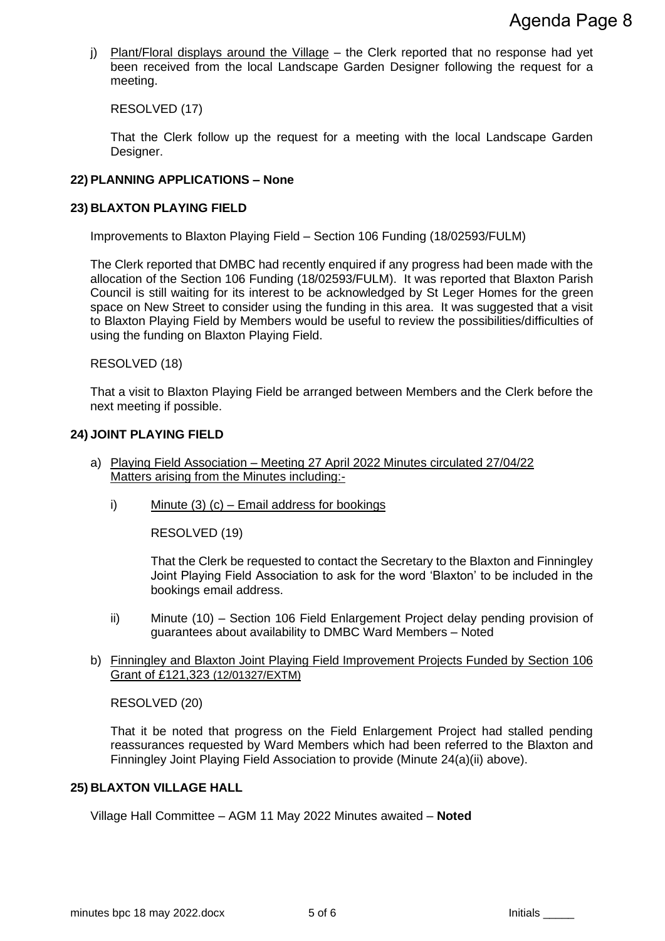j) Plant/Floral displays around the Village - the Clerk reported that no response had yet been received from the local Landscape Garden Designer following the request for a meeting.

RESOLVED (17)

That the Clerk follow up the request for a meeting with the local Landscape Garden Designer.

## **22) PLANNING APPLICATIONS – None**

## **23) BLAXTON PLAYING FIELD**

Improvements to Blaxton Playing Field – Section 106 Funding (18/02593/FULM)

The Clerk reported that DMBC had recently enquired if any progress had been made with the allocation of the Section 106 Funding (18/02593/FULM). It was reported that Blaxton Parish Council is still waiting for its interest to be acknowledged by St Leger Homes for the green space on New Street to consider using the funding in this area. It was suggested that a visit to Blaxton Playing Field by Members would be useful to review the possibilities/difficulties of using the funding on Blaxton Playing Field.

RESOLVED (18)

That a visit to Blaxton Playing Field be arranged between Members and the Clerk before the next meeting if possible.

## **24) JOINT PLAYING FIELD**

- a) Playing Field Association Meeting 27 April 2022 Minutes circulated 27/04/22 Matters arising from the Minutes including:
	- i) Minute (3) (c) Email address for bookings

RESOLVED (19)

That the Clerk be requested to contact the Secretary to the Blaxton and Finningley Joint Playing Field Association to ask for the word 'Blaxton' to be included in the bookings email address.

- ii) Minute (10) Section 106 Field Enlargement Project delay pending provision of guarantees about availability to DMBC Ward Members – Noted
- b) Finningley and Blaxton Joint Playing Field Improvement Projects Funded by Section 106 Grant of £121,323 (12/01327/EXTM)

RESOLVED (20)

That it be noted that progress on the Field Enlargement Project had stalled pending reassurances requested by Ward Members which had been referred to the Blaxton and Finningley Joint Playing Field Association to provide (Minute 24(a)(ii) above).

#### **25) BLAXTON VILLAGE HALL**

Village Hall Committee – AGM 11 May 2022 Minutes awaited – **Noted**